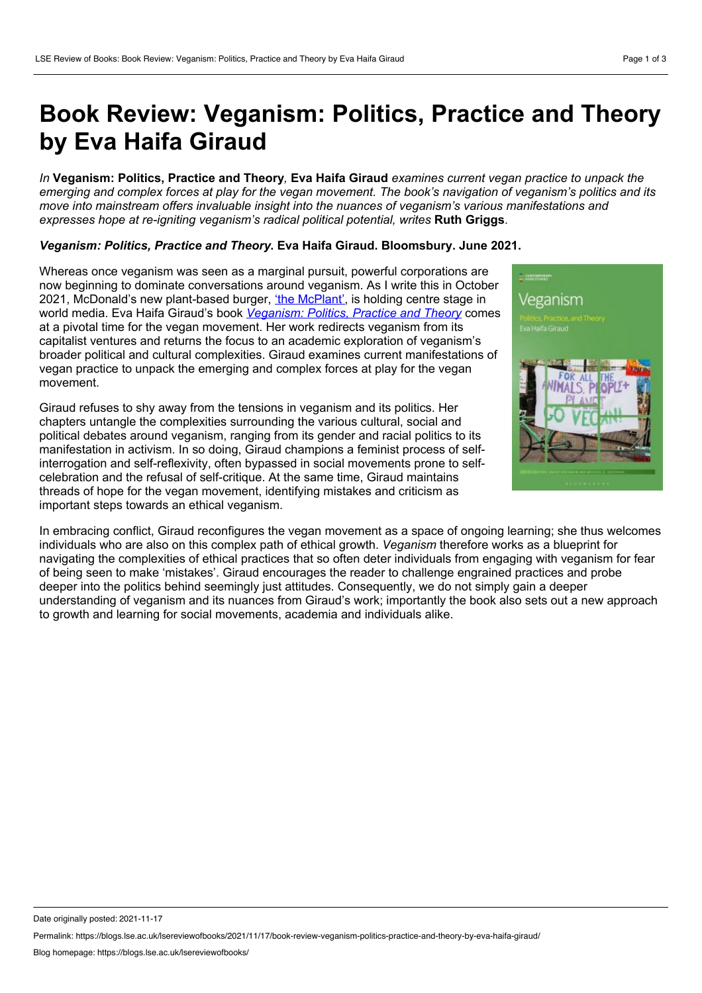## **Book Review: Veganism: Politics, Practice and Theory by Eva Haifa Giraud**

In Veganism: Politics, Practice and Theory. Eva Haifa Giraud examines current vegan practice to unpack the emerging and complex forces at play for the vegan movement. The book's navigation of veganism's politics and its *move into mainstream offers invaluable insight into the nuances of veganism's various manifestations and expresses hope at re-igniting veganism's radical political potential, writes* **Ruth Griggs***.*

## *Veganism: Politics, Practice and Theory***. Eva Haifa Giraud. Bloomsbury. June 2021.**

Whereas once veganism was seen as a marginal pursuit, powerful corporations are now beginning to dominate conversations around veganism. As I write this in October 2021, McDonald's new plant-based burger, 'the [McPlant'](https://www.independent.co.uk/life-style/food-and-drink/mcplant-burger-mcdonalds-vegan-where-b1943687.html), is holding centre stage in world media. Eva Haifa Giraud's book *[Veganism:](https://www.bloomsbury.com/uk/veganism-9781350124936/) Politics, Practice and Theory* comes at a pivotal time for the vegan movement. Her work redirects veganism from its capitalist ventures and returns the focus to an academic exploration of veganism's broader political and cultural complexities. Giraud examines current manifestations of vegan practice to unpack the emerging and complex forces at play for the vegan movement.

Giraud refuses to shy away from the tensions in veganism and its politics. Her chapters untangle the complexities surrounding the various cultural, social and political debates around veganism, ranging from its gender and racial politics to its manifestation in activism. In so doing, Giraud champions a feminist process of selfinterrogation and self-reflexivity, often bypassed in social movements prone to self celebration and the refusal of self-critique. At the same time, Giraud maintains threads of hope for the vegan movement, identifying mistakes and criticism as important steps towards an ethical veganism.



In embracing conflict, Giraud reconfigures the vegan movement as a space of ongoing learning; she thus welcomes individuals who are also on this complex path of ethical growth. *Veganism* therefore works as a blueprint for navigating the complexities of ethical practices that so often deter individuals from engaging with veganism for fear of being seen to make 'mistakes'. Giraud encourages the reader to challenge engrained practices and probe deeper into the politics behind seemingly just attitudes. Consequently, we do not simply gain a deeper understanding of veganism and its nuances from Giraud's work; importantly the book also sets out a new approach to growth and learning for social movements, academia and individuals alike.

Date originally posted: 2021-11-17

Permalink: https://blogs.lse.ac.uk/lsereviewofbooks/2021/11/17/book-review-veganism-politics-practice-and-theory-by-eva-haifa-giraud/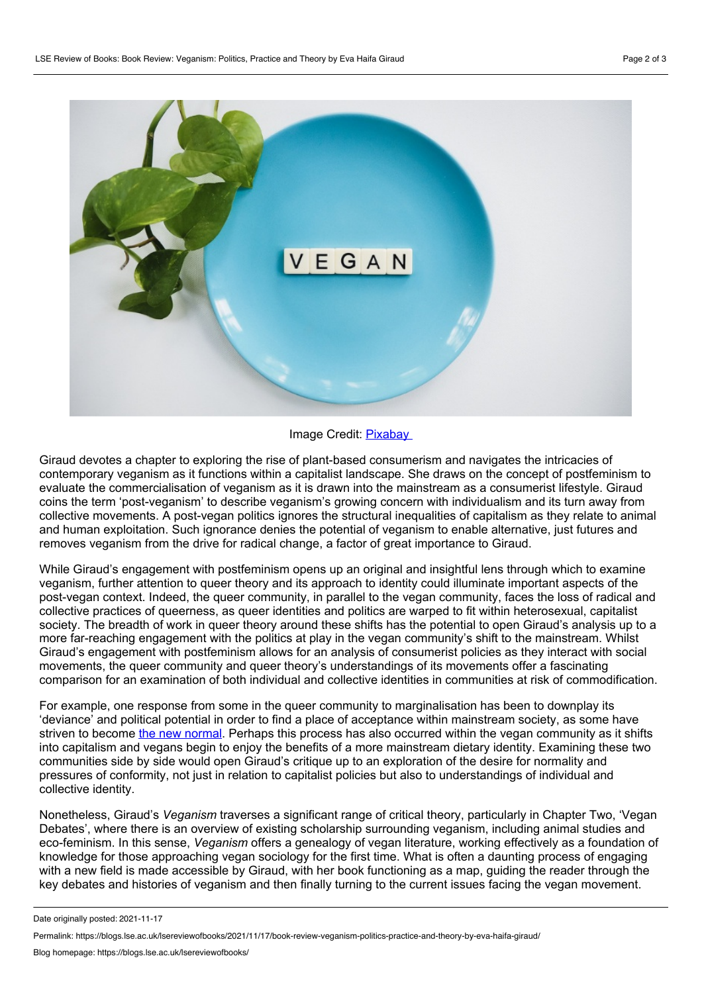

## Image Credit: [Pixabay](https://pixabay.com/photos/vegan-vegan-diet-veganism-4232116/)

Giraud devotes a chapter to exploring the rise of plant-based consumerism and navigates the intricacies of contemporary veganism as it functions within a capitalist landscape. She draws on the concept of postfeminism to evaluate the commercialisation of veganism as it is drawn into the mainstream as a consumerist lifestyle. Giraud coins the term 'post-veganism' to describe veganism's growing concern with individualism and its turn away from collective movements. A post-vegan politics ignores the structural inequalities of capitalism as they relate to animal and human exploitation. Such ignorance denies the potential of veganism to enable alternative, just futures and removes veganism from the drive for radical change, a factor of great importance to Giraud.

While Giraud's engagement with postfeminism opens up an original and insightful lens through which to examine veganism, further attention to queer theory and its approach to identity could illuminate important aspects of the post-vegan context. Indeed, the queer community, in parallel to the vegan community, faces the loss of radical and collective practices of queerness, as queer identities and politics are warped to fit within heterosexual, capitalist society. The breadth of work in queer theory around these shifts has the potential to open Giraud's analysis up to a more far-reaching engagement with the politics at play in the vegan community's shift to the mainstream. Whilst Giraud's engagement with postfeminism allows for an analysis of consumerist policies as they interact with social movements, the queer community and queer theory's understandings of its movements offer a fascinating comparison for an examination of both individual and collective identities in communities at risk of commodification.

For example, one response from some in the queer community to marginalisation has been to downplay its 'deviance' and political potential in order to find a place of acceptance within mainstream society, as some have striven to become the new [normal](https://books.google.co.uk/books/about/The_Trouble_with_Normal.html?id=nvPEDrScjmAC&redir_esc=y). Perhaps this process has also occurred within the vegan community as it shifts into capitalism and vegans begin to enjoy the benefits of a more mainstream dietary identity. Examining these two communities side by side would open Giraud's critique up to an exploration of the desire for normality and pressures of conformity, not just in relation to capitalist policies but also to understandings of individual and collective identity.

Nonetheless, Giraud's *Veganism* traverses a significant range of critical theory, particularly in Chapter Two, 'Vegan Debates', where there is an overview of existing scholarship surrounding veganism, including animal studies and eco-feminism. In this sense, *Veganism* offers a genealogy of vegan literature, working effectively as a foundation of knowledge for those approaching vegan sociology for the first time. What is often a daunting process of engaging with a new field is made accessible by Giraud, with her book functioning as a map, guiding the reader through the key debates and histories of veganism and then finally turning to the current issues facing the vegan movement.

Date originally posted: 2021-11-17

Permalink: https://blogs.lse.ac.uk/lsereviewofbooks/2021/11/17/book-review-veganism-politics-practice-and-theory-by-eva-haifa-giraud/